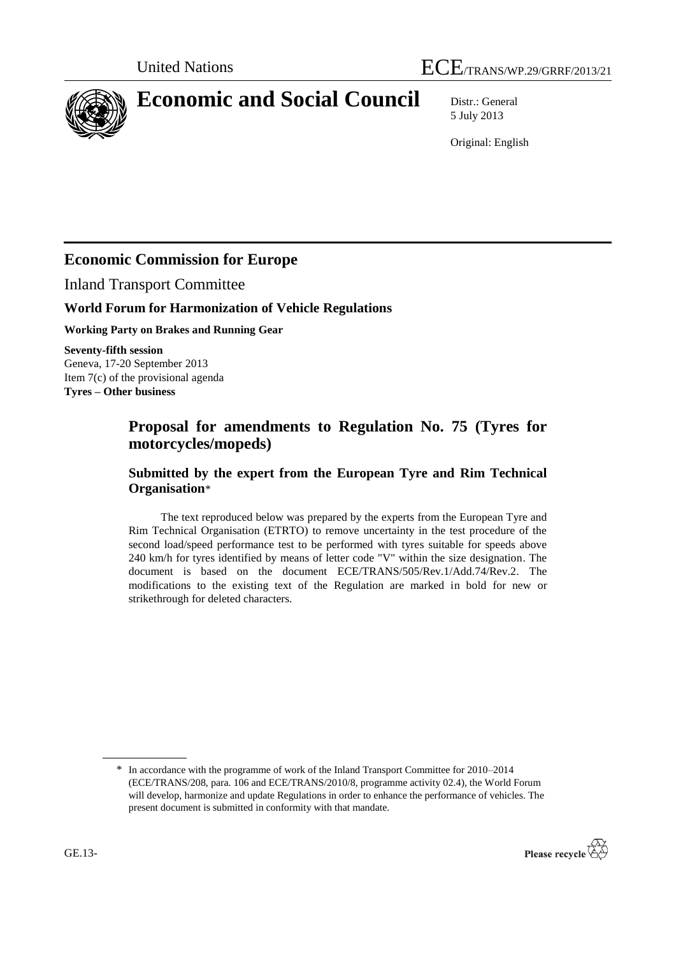



# **Economic and Social Council** Distr.: General

5 July 2013

Original: English

## **Economic Commission for Europe**

Inland Transport Committee

## **World Forum for Harmonization of Vehicle Regulations**

**Working Party on Brakes and Running Gear**

**Seventy-fifth session** Geneva, 17-20 September 2013 Item 7(c) of the provisional agenda **Tyres – Other business**

## **Proposal for amendments to Regulation No. 75 (Tyres for motorcycles/mopeds)**

## **Submitted by the expert from the European Tyre and Rim Technical Organisation**\*

The text reproduced below was prepared by the experts from the European Tyre and Rim Technical Organisation (ETRTO) to remove uncertainty in the test procedure of the second load/speed performance test to be performed with tyres suitable for speeds above 240 km/h for tyres identified by means of letter code "V" within the size designation. The document is based on the document ECE/TRANS/505/Rev.1/Add.74/Rev.2. The modifications to the existing text of the Regulation are marked in bold for new or strikethrough for deleted characters.

<sup>\*</sup> In accordance with the programme of work of the Inland Transport Committee for 2010–2014 (ECE/TRANS/208, para. 106 and ECE/TRANS/2010/8, programme activity 02.4), the World Forum will develop, harmonize and update Regulations in order to enhance the performance of vehicles. The present document is submitted in conformity with that mandate.